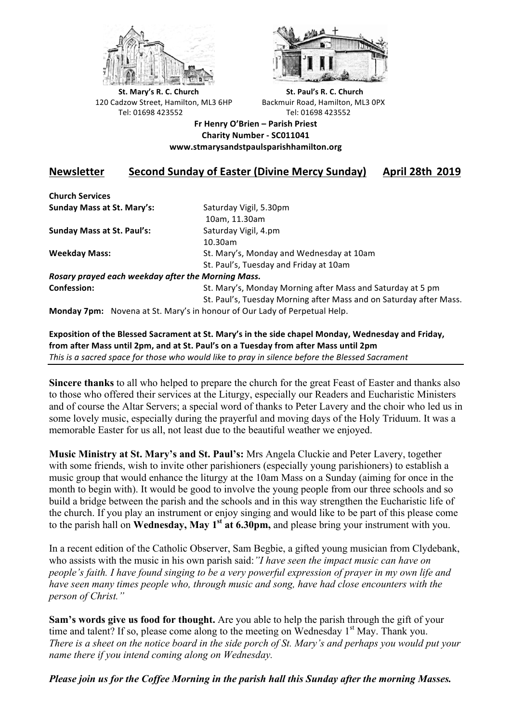



**St.** Mary's R. C. Church St. Paul's R. C. Church 120 Cadzow Street, Hamilton, ML3 6HP Backmuir Road, Hamilton, ML3 0PX Tel: 01698 423552 Tel: 01698 423552

**Fr Henry O'Brien – Parish Priest Charity Number - SC011041 www.stmarysandstpaulsparishhamilton.org**

## **Newsletter** Second Sunday of Easter (Divine Mercy Sunday) April 28th 2019

**Church Services Sunday Mass at St. Mary's:** Saturday Vigil, 5.30pm

**Sunday Mass at St. Paul's:** Saturday Vigil, 4.pm

 10am, 11.30am 10.30am **Weekday Mass:** St. Mary's, Monday and Wednesday at 10am St. Paul's, Tuesday and Friday at 10am

*Rosary prayed each weekday after the Morning Mass.* **Confession:** St. Mary's, Monday Morning after Mass and Saturday at 5 pm

St. Paul's, Tuesday Morning after Mass and on Saturday after Mass.

**Monday 7pm:** Novena at St. Mary's in honour of Our Lady of Perpetual Help.

Exposition of the Blessed Sacrament at St. Mary's in the side chapel Monday, Wednesday and Friday, from after Mass until 2pm, and at St. Paul's on a Tuesday from after Mass until 2pm This is a sacred space for those who would like to pray in silence before the Blessed Sacrament

**Sincere thanks** to all who helped to prepare the church for the great Feast of Easter and thanks also to those who offered their services at the Liturgy, especially our Readers and Eucharistic Ministers and of course the Altar Servers; a special word of thanks to Peter Lavery and the choir who led us in some lovely music, especially during the prayerful and moving days of the Holy Triduum. It was a memorable Easter for us all, not least due to the beautiful weather we enjoyed.

**Music Ministry at St. Mary's and St. Paul's:** Mrs Angela Cluckie and Peter Lavery, together with some friends, wish to invite other parishioners (especially young parishioners) to establish a music group that would enhance the liturgy at the 10am Mass on a Sunday (aiming for once in the month to begin with). It would be good to involve the young people from our three schools and so build a bridge between the parish and the schools and in this way strengthen the Eucharistic life of the church. If you play an instrument or enjoy singing and would like to be part of this please come to the parish hall on **Wednesday, May 1st at 6.30pm,** and please bring your instrument with you.

In a recent edition of the Catholic Observer, Sam Begbie, a gifted young musician from Clydebank, who assists with the music in his own parish said:*"I have seen the impact music can have on people's faith. I have found singing to be a very powerful expression of prayer in my own life and have seen many times people who, through music and song, have had close encounters with the person of Christ."*

**Sam's words give us food for thought.** Are you able to help the parish through the gift of your time and talent? If so, please come along to the meeting on Wednesday  $1<sup>st</sup>$  May. Thank you. *There is a sheet on the notice board in the side porch of St. Mary's and perhaps you would put your name there if you intend coming along on Wednesday.*

*Please join us for the Coffee Morning in the parish hall this Sunday after the morning Masses.*